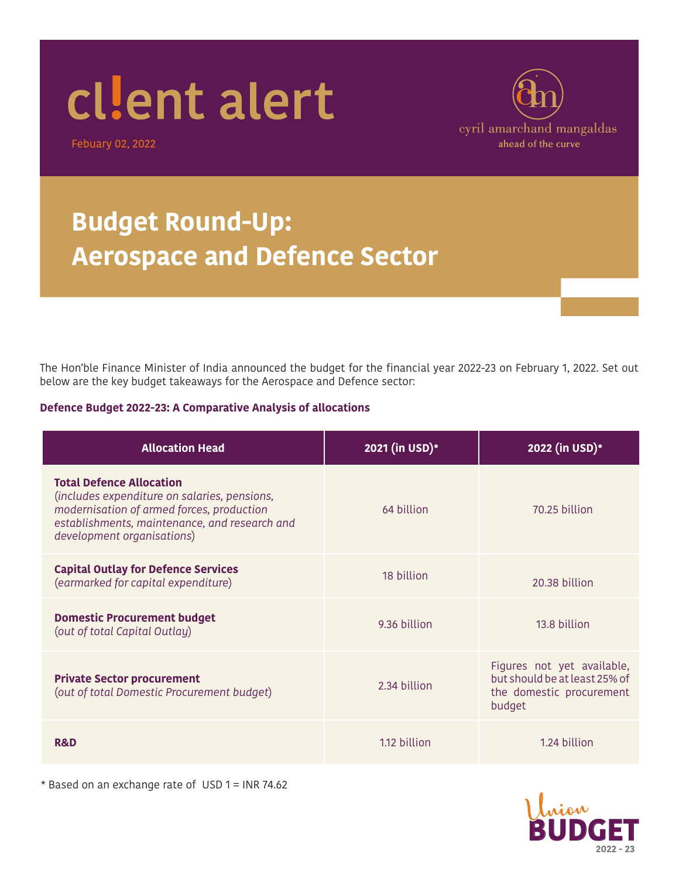# cllent alert

Febuary 02, 2022



### **Budget Round-Up: Aerospace and Defence Sector**

The Hon'ble Finance Minister of India announced the budget for the financial year 2022-23 on February 1, 2022. Set out below are the key budget takeaways for the Aerospace and Defence sector:

#### **Defence Budget 2022-23: A Comparative Analysis of allocations**

| <b>Allocation Head</b>                                                                                                                                                                                      | 2021 (in USD)* | 2022 (in USD)*                                                                                    |
|-------------------------------------------------------------------------------------------------------------------------------------------------------------------------------------------------------------|----------------|---------------------------------------------------------------------------------------------------|
| <b>Total Defence Allocation</b><br>(includes expenditure on salaries, pensions,<br>modernisation of armed forces, production<br>establishments, maintenance, and research and<br>development organisations) | 64 billion     | 70.25 billion                                                                                     |
| <b>Capital Outlay for Defence Services</b><br>(earmarked for capital expenditure)                                                                                                                           | 18 billion     | 20.38 billion                                                                                     |
| <b>Domestic Procurement budget</b><br>(out of total Capital Outlay)                                                                                                                                         | 9.36 billion   | 13.8 billion                                                                                      |
| <b>Private Sector procurement</b><br>(out of total Domestic Procurement budget)                                                                                                                             | 2.34 billion   | Figures not yet available,<br>but should be at least 25% of<br>the domestic procurement<br>budget |
| <b>R&amp;D</b>                                                                                                                                                                                              | 1.12 billion   | 1.24 billion                                                                                      |

\* Based on an exchange rate of USD 1 = INR 74.62

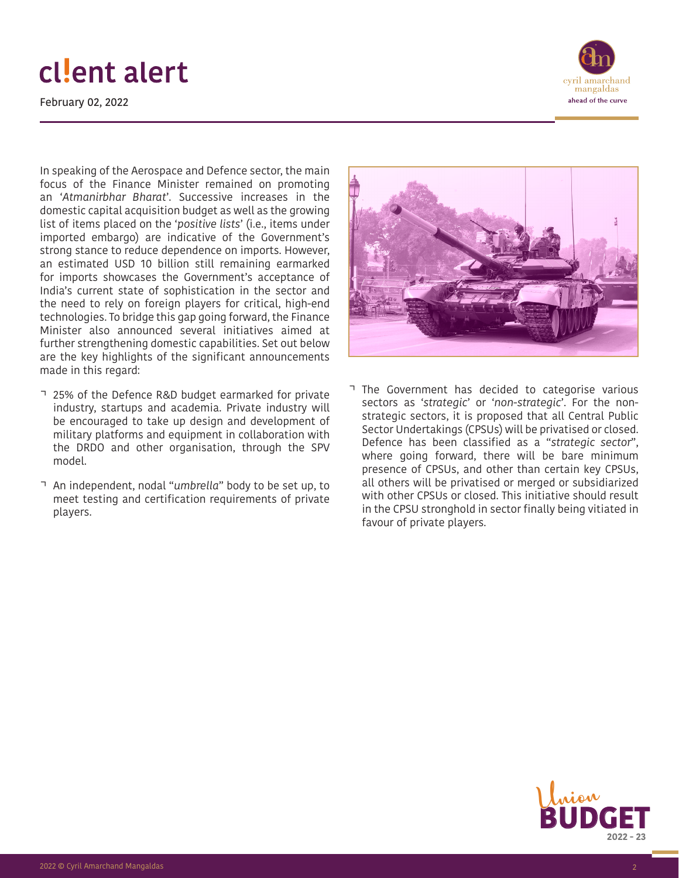## cllent alert

February 02, 2022



In speaking of the Aerospace and Defence sector, the main focus of the Finance Minister remained on promoting an '*Atmanirbhar Bharat*'. Successive increases in the domestic capital acquisition budget as well as the growing list of items placed on the '*positive lists*' (i.e., items under imported embargo) are indicative of the Government's strong stance to reduce dependence on imports. However, an estimated USD 10 billion still remaining earmarked for imports showcases the Government's acceptance of India's current state of sophistication in the sector and the need to rely on foreign players for critical, high-end technologies. To bridge this gap going forward, the Finance Minister also announced several initiatives aimed at further strengthening domestic capabilities. Set out below are the key highlights of the significant announcements made in this regard:

- 25% of the Defence R&D budget earmarked for private industry, startups and academia. Private industry will be encouraged to take up design and development of military platforms and equipment in collaboration with the DRDO and other organisation, through the SPV model.
- An independent, nodal "*umbrella*" body to be set up, to meet testing and certification requirements of private players.



• The Government has decided to categorise various sectors as '*strategic*' or '*non-strategic*'. For the nonstrategic sectors, it is proposed that all Central Public Sector Undertakings (CPSUs) will be privatised or closed. Defence has been classified as a "*strategic sector*", where going forward, there will be bare minimum presence of CPSUs, and other than certain key CPSUs, all others will be privatised or merged or subsidiarized with other CPSUs or closed. This initiative should result in the CPSU stronghold in sector finally being vitiated in favour of private players.